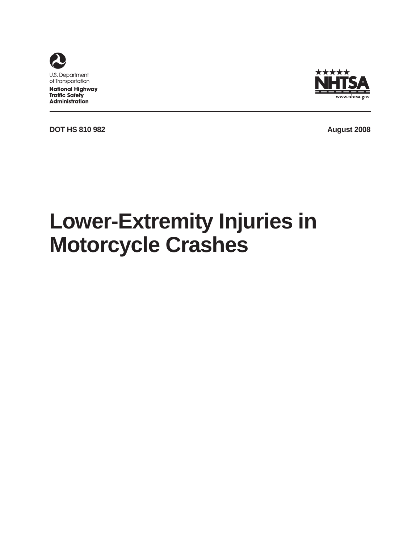

**National Highway Traffic Safety Administration** 



**DOT HS 810 982 August 2008** 

# **Lower-Extremity Injuries in Motorcycle Crashes**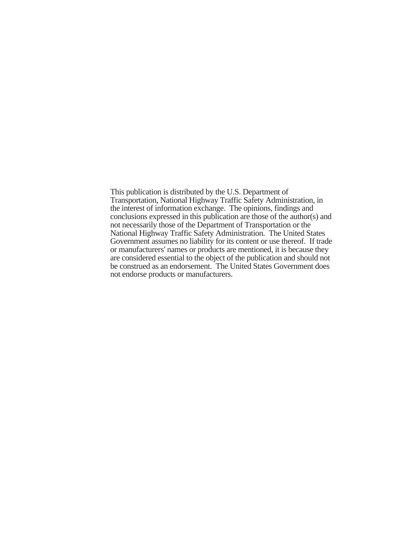This publication is distributed by the U.S. Department of Transportation, National Highway Traffic Safety Administration, in the interest of information exchange. The opinions, findings and conclusions expressed in this publication are those of the author(s) and not necessarily those of the Department of Transportation or the National Highway Traffic Safety Administration. The United States Government assumes no liability for its content or use thereof. If trade or manufacturers' names or products are mentioned, it is because they are considered essential to the object of the publication and should not be construed as an endorsement. The United States Government does not endorse products or manufacturers.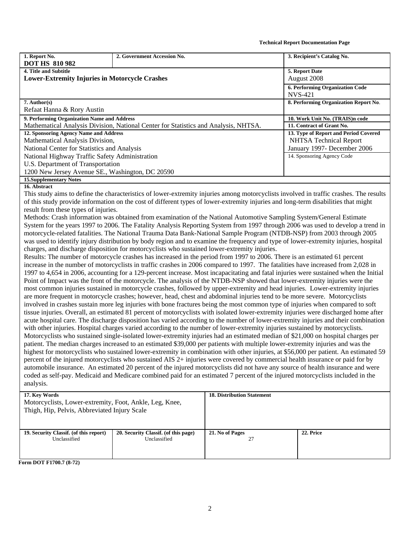**Technical Report Documentation Page** 

| 1. Report No.                                                                                                                      | 2. Government Accession No.                                                                                                            | 3. Recipient's Catalog No.            |  |  |  |  |
|------------------------------------------------------------------------------------------------------------------------------------|----------------------------------------------------------------------------------------------------------------------------------------|---------------------------------------|--|--|--|--|
| <b>DOT HS 810 982</b>                                                                                                              |                                                                                                                                        |                                       |  |  |  |  |
| 4. Title and Subtitle                                                                                                              |                                                                                                                                        | 5. Report Date                        |  |  |  |  |
|                                                                                                                                    | <b>Lower-Extremity Injuries in Motorcycle Crashes</b>                                                                                  |                                       |  |  |  |  |
|                                                                                                                                    |                                                                                                                                        | 6. Performing Organization Code       |  |  |  |  |
|                                                                                                                                    |                                                                                                                                        | <b>NVS-421</b>                        |  |  |  |  |
| $7.$ Author(s)                                                                                                                     |                                                                                                                                        | 8. Performing Organization Report No. |  |  |  |  |
| Refaat Hanna & Rory Austin                                                                                                         |                                                                                                                                        |                                       |  |  |  |  |
| 9. Performing Organization Name and Address                                                                                        |                                                                                                                                        | 10. Work Unit No. (TRAIS)n code       |  |  |  |  |
|                                                                                                                                    | Mathematical Analysis Division, National Center for Statistics and Analysis, NHTSA.                                                    | 11. Contract of Grant No.             |  |  |  |  |
| 12. Sponsoring Agency Name and Address                                                                                             |                                                                                                                                        | 13. Type of Report and Period Covered |  |  |  |  |
| Mathematical Analysis Division,                                                                                                    |                                                                                                                                        | <b>NHTSA Technical Report</b>         |  |  |  |  |
| National Center for Statistics and Analysis                                                                                        |                                                                                                                                        | January 1997- December 2006           |  |  |  |  |
| National Highway Traffic Safety Administration                                                                                     |                                                                                                                                        | 14. Sponsoring Agency Code            |  |  |  |  |
| U.S. Department of Transportation                                                                                                  |                                                                                                                                        |                                       |  |  |  |  |
| 1200 New Jersey Avenue SE., Washington, DC 20590                                                                                   |                                                                                                                                        |                                       |  |  |  |  |
| <b>15. Supplementary Notes</b>                                                                                                     |                                                                                                                                        |                                       |  |  |  |  |
| 16. Abstract                                                                                                                       |                                                                                                                                        |                                       |  |  |  |  |
|                                                                                                                                    | This study aims to define the characteristics of lower-extremity injuries among motorcyclists involved in traffic crashes. The results |                                       |  |  |  |  |
| of this study provide information on the cost of different types of lower-extremity injuries and long-term disabilities that might |                                                                                                                                        |                                       |  |  |  |  |
| result from these types of injuries.                                                                                               |                                                                                                                                        |                                       |  |  |  |  |
| Methods: Crash information was obtained from examination of the National Automotive Sampling System/General Estimate               |                                                                                                                                        |                                       |  |  |  |  |
|                                                                                                                                    | System for the years 1997 to 2006. The Fatality Analysis Reporting System from 1997 through 2006 was used to develop a trend in        |                                       |  |  |  |  |
| motorcycle-related fatalities. The National Trauma Data Bank-National Sample Program (NTDB-NSP) from 2003 through 2005             |                                                                                                                                        |                                       |  |  |  |  |

motorcycle-related fatalities. The National Trauma Data Bank-National Sample Program (NTDB-NSP) from 2003 through 2005 was used to identify injury distribution by body region and to examine the frequency and type of lower-extremity injuries, hospital charges, and discharge disposition for motorcyclists who sustained lower-extremity injuries.

Results: The number of motorcycle crashes has increased in the period from 1997 to 2006. There is an estimated 61 percent increase in the number of motorcyclists in traffic crashes in 2006 compared to 1997. The fatalities have increased from 2,028 in 1997 to 4,654 in 2006, accounting for a 129-percent increase. Most incapacitating and fatal injuries were sustained when the Initial Point of Impact was the front of the motorcycle. The analysis of the NTDB-NSP showed that lower-extremity injuries were the most common injuries sustained in motorcycle crashes, followed by upper-extremity and head injuries. Lower-extremity injuries are more frequent in motorcycle crashes; however, head, chest and abdominal injuries tend to be more severe. Motorcyclists involved in crashes sustain more leg injuries with bone fractures being the most common type of injuries when compared to soft tissue injuries. Overall, an estimated 81 percent of motorcyclists with isolated lower-extremity injuries were discharged home after acute hospital care. The discharge disposition has varied according to the number of lower-extremity injuries and their combination with other injuries. Hospital charges varied according to the number of lower-extremity injuries sustained by motorcyclists. Motorcyclists who sustained single-isolated lower-extremity injuries had an estimated median of \$21,000 on hospital charges per patient. The median charges increased to an estimated \$39,000 per patients with multiple lower-extremity injuries and was the highest for motorcyclists who sustained lower-extremity in combination with other injuries, at \$56,000 per patient. An estimated 59 percent of the injured motorcyclists who sustained AIS 2+ injuries were covered by commercial health insurance or paid for by automobile insurance. An estimated 20 percent of the injured motorcyclists did not have any source of health insurance and were coded as self-pay. Medicaid and Medicare combined paid for an estimated 7 percent of the injured motorcyclists included in the analysis.

#### **17. Key Words**  Motorcyclists, Lower-extremity, Foot, Ankle, Leg, Knee, Thigh, Hip, Pelvis, Abbreviated Injury Scale **18. Distribution Statement 19. Security Classif. (of this report)**  Unclassified **20. Security Classif. (of this page)**  Unclassified **21. No of Pages**  27 **22. Price Form DOT F1700.7 (8-72)**

2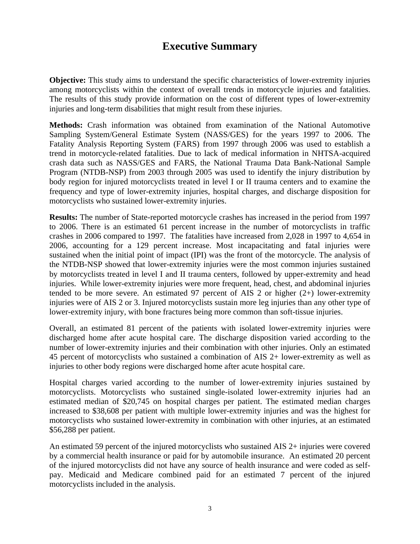# **Executive Summary**

**Objective:** This study aims to understand the specific characteristics of lower-extremity injuries among motorcyclists within the context of overall trends in motorcycle injuries and fatalities. The results of this study provide information on the cost of different types of lower-extremity injuries and long-term disabilities that might result from these injuries.

**Methods:** Crash information was obtained from examination of the National Automotive Sampling System/General Estimate System (NASS/GES) for the years 1997 to 2006. The Fatality Analysis Reporting System (FARS) from 1997 through 2006 was used to establish a trend in motorcycle-related fatalities. Due to lack of medical information in NHTSA-acquired crash data such as NASS/GES and FARS, the National Trauma Data Bank-National Sample Program (NTDB-NSP) from 2003 through 2005 was used to identify the injury distribution by body region for injured motorcyclists treated in level I or II trauma centers and to examine the frequency and type of lower-extremity injuries, hospital charges, and discharge disposition for motorcyclists who sustained lower-extremity injuries.

**Results:** The number of State-reported motorcycle crashes has increased in the period from 1997 to 2006. There is an estimated 61 percent increase in the number of motorcyclists in traffic crashes in 2006 compared to 1997. The fatalities have increased from 2,028 in 1997 to 4,654 in 2006, accounting for a 129 percent increase. Most incapacitating and fatal injuries were sustained when the initial point of impact (IPI) was the front of the motorcycle. The analysis of the NTDB-NSP showed that lower-extremity injuries were the most common injuries sustained by motorcyclists treated in level I and II trauma centers, followed by upper-extremity and head injuries. While lower-extremity injuries were more frequent, head, chest, and abdominal injuries tended to be more severe. An estimated 97 percent of AIS 2 or higher  $(2+)$  lower-extremity injuries were of AIS 2 or 3. Injured motorcyclists sustain more leg injuries than any other type of lower-extremity injury, with bone fractures being more common than soft-tissue injuries.

Overall, an estimated 81 percent of the patients with isolated lower-extremity injuries were discharged home after acute hospital care. The discharge disposition varied according to the number of lower-extremity injuries and their combination with other injuries. Only an estimated 45 percent of motorcyclists who sustained a combination of AIS 2+ lower-extremity as well as injuries to other body regions were discharged home after acute hospital care.

Hospital charges varied according to the number of lower-extremity injuries sustained by motorcyclists. Motorcyclists who sustained single-isolated lower-extremity injuries had an estimated median of \$20,745 on hospital charges per patient. The estimated median charges increased to \$38,608 per patient with multiple lower-extremity injuries and was the highest for motorcyclists who sustained lower-extremity in combination with other injuries, at an estimated \$56,288 per patient.

An estimated 59 percent of the injured motorcyclists who sustained AIS 2+ injuries were covered by a commercial health insurance or paid for by automobile insurance. An estimated 20 percent of the injured motorcyclists did not have any source of health insurance and were coded as selfpay. Medicaid and Medicare combined paid for an estimated 7 percent of the injured motorcyclists included in the analysis.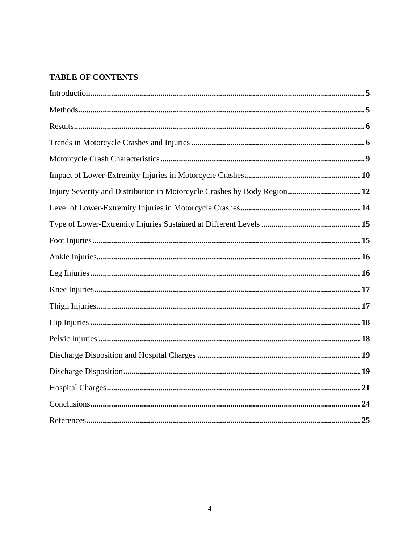## **TABLE OF CONTENTS**

| Injury Severity and Distribution in Motorcycle Crashes by Body Region 12 |
|--------------------------------------------------------------------------|
|                                                                          |
|                                                                          |
|                                                                          |
|                                                                          |
|                                                                          |
|                                                                          |
|                                                                          |
|                                                                          |
|                                                                          |
|                                                                          |
|                                                                          |
|                                                                          |
|                                                                          |
|                                                                          |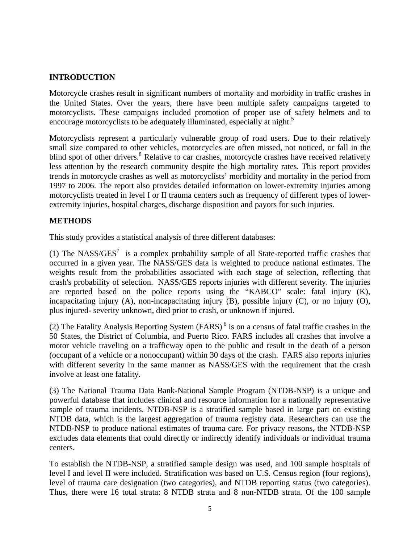## <span id="page-5-0"></span>**INTRODUCTION**

Motorcycle crashes result in significant numbers of mortality and morbidity in traffic crashes in the United States. Over the years, there have been multiple safety campaigns targeted to motorcyclists. These campaigns included promotion of proper use of safety helmets and to encourage motorcyclists to be adequately illuminated, especially at night.<sup>5</sup>

Motorcyclists represent a particularly vulnerable group of road users. Due to their relatively small size compared to other vehicles, motorcycles are often missed, not noticed, or fall in the blind spot of other drivers.<sup>8</sup> Relative to car crashes, motorcycle crashes have received relatively less attention by the research community despite the high mortality rates. This report provides trends in motorcycle crashes as well as motorcyclists' morbidity and mortality in the period from 1997 to 2006. The report also provides detailed information on lower-extremity injuries among motorcyclists treated in level I or II trauma centers such as frequency of different types of lowerextremity injuries, hospital charges, discharge disposition and payors for such injuries.

### **METHODS**

This study provides a statistical analysis of three different databases:

(1) The NASS/GES<sup>7</sup> is a complex probability sample of all State-reported traffic crashes that occurred in a given year. The NASS/GES data is weighted to produce national estimates. The weights result from the probabilities associated with each stage of selection, reflecting that crash's probability of selection. NASS/GES reports injuries with different severity. The injuries are reported based on the police reports using the "KABCO" scale: fatal injury (K), incapacitating injury (A), non-incapacitating injury (B), possible injury (C), or no injury (O), plus injured- severity unknown, died prior to crash, or unknown if injured.

(2) The Fatality Analysis Reporting System  $(FARS)^6$  is on a census of fatal traffic crashes in the 50 States, the District of Columbia, and Puerto Rico. FARS includes all crashes that involve a motor vehicle traveling on a trafficway open to the public and result in the death of a person (occupant of a vehicle or a nonoccupant) within 30 days of the crash. FARS also reports injuries with different severity in the same manner as NASS/GES with the requirement that the crash involve at least one fatality.

(3) The National Trauma Data Bank-National Sample Program (NTDB-NSP) is a unique and powerful database that includes clinical and resource information for a nationally representative sample of trauma incidents. NTDB-NSP is a stratified sample based in large part on existing NTDB data, which is the largest aggregation of trauma registry data. Researchers can use the NTDB-NSP to produce national estimates of trauma care. For privacy reasons, the NTDB-NSP excludes data elements that could directly or indirectly identify individuals or individual trauma centers.

To establish the NTDB-NSP, a stratified sample design was used, and 100 sample hospitals of level I and level II were included. Stratification was based on U.S. Census region (four regions), level of trauma care designation (two categories), and NTDB reporting status (two categories). Thus, there were 16 total strata: 8 NTDB strata and 8 non-NTDB strata. Of the 100 sample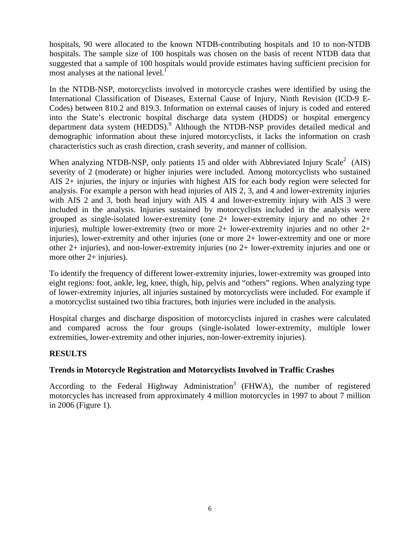<span id="page-6-0"></span>hospitals, 90 were allocated to the known NTDB-contributing hospitals and 10 to non-NTDB hospitals. The sample size of 100 hospitals was chosen on the basis of recent NTDB data that suggested that a sample of 100 hospitals would provide estimates having sufficient precision for most analyses at the national level.<sup>1</sup>

In the NTDB-NSP, motorcyclists involved in motorcycle crashes were identified by using the International Classification of Diseases, External Cause of Injury, Ninth Revision (ICD-9 E-Codes) between 810.2 and 819.3. Information on external causes of injury is coded and entered into the State's electronic hospital discharge data system (HDDS) or hospital emergency department data system (HEDDS).<sup>9</sup> Although the NTDB-NSP provides detailed medical and demographic information about these injured motorcyclists, it lacks the information on crash characteristics such as crash direction, crash severity, and manner of collision.

When analyzing NTDB-NSP, only patients 15 and older with Abbreviated Injury Scale<sup>2</sup> (AIS) severity of 2 (moderate) or higher injuries were included. Among motorcyclists who sustained AIS 2+ injuries, the injury or injuries with highest AIS for each body region were selected for analysis. For example a person with head injuries of AIS 2, 3, and 4 and lower-extremity injuries with AIS 2 and 3, both head injury with AIS 4 and lower-extremity injury with AIS 3 were included in the analysis. Injuries sustained by motorcyclists included in the analysis were grouped as single-isolated lower-extremity (one 2+ lower-extremity injury and no other 2+ injuries), multiple lower-extremity (two or more 2+ lower-extremity injuries and no other 2+ injuries), lower-extremity and other injuries (one or more 2+ lower-extremity and one or more other 2+ injuries), and non-lower-extremity injuries (no 2+ lower-extremity injuries and one or more other 2+ injuries).

To identify the frequency of different lower-extremity injuries, lower-extremity was grouped into eight regions: foot, ankle, leg, knee, thigh, hip, pelvis and "others" regions. When analyzing type of lower-extremity injuries, all injuries sustained by motorcyclists were included. For example if a motorcyclist sustained two tibia fractures, both injuries were included in the analysis.

Hospital charges and discharge disposition of motorcyclists injured in crashes were calculated and compared across the four groups (single-isolated lower-extremity, multiple lower extremities, lower-extremity and other injuries, non-lower-extremity injuries).

## **RESULTS**

## **Trends in Motorcycle Registration and Motorcyclists Involved in Traffic Crashes**

According to the Federal Highway Administration<sup>3</sup> (FHWA), the number of registered motorcycles has increased from approximately 4 million motorcycles in 1997 to about 7 million in 2006 (Figure 1).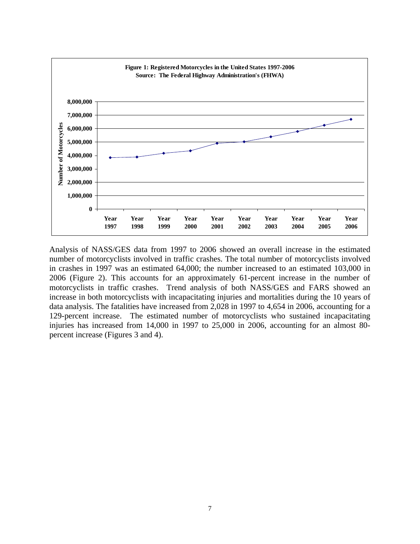

Analysis of NASS/GES data from 1997 to 2006 showed an overall increase in the estimated number of motorcyclists involved in traffic crashes. The total number of motorcyclists involved in crashes in 1997 was an estimated 64,000; the number increased to an estimated 103,000 in 2006 (Figure 2). This accounts for an approximately 61-percent increase in the number of motorcyclists in traffic crashes. Trend analysis of both NASS/GES and FARS showed an increase in both motorcyclists with incapacitating injuries and mortalities during the 10 years of data analysis. The fatalities have increased from 2,028 in 1997 to 4,654 in 2006, accounting for a 129-percent increase. The estimated number of motorcyclists who sustained incapacitating injuries has increased from 14,000 in 1997 to 25,000 in 2006, accounting for an almost 80 percent increase (Figures 3 and 4).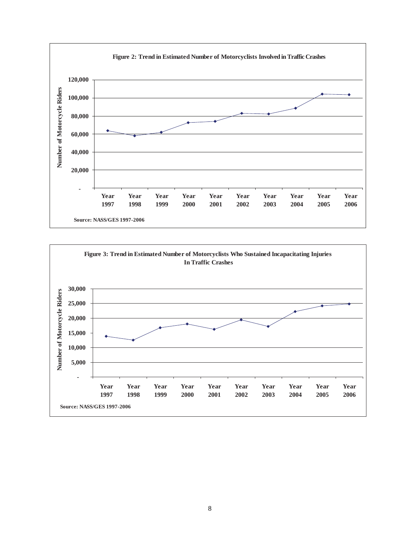

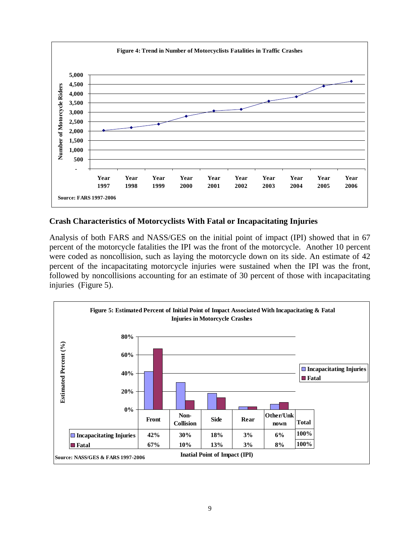<span id="page-9-0"></span>

## **Crash Characteristics of Motorcyclists With Fatal or Incapacitating Injuries**

Analysis of both FARS and NASS/GES on the initial point of impact (IPI) showed that in 67 percent of the motorcycle fatalities the IPI was the front of the motorcycle. Another 10 percent were coded as noncollision, such as laying the motorcycle down on its side. An estimate of 42 percent of the incapacitating motorcycle injuries were sustained when the IPI was the front, followed by noncollisions accounting for an estimate of 30 percent of those with incapacitating injuries (Figure 5).

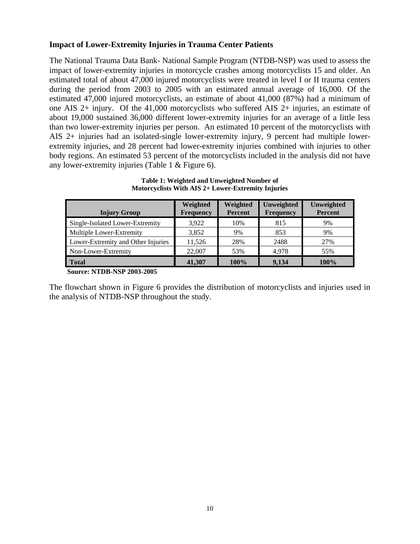### <span id="page-10-0"></span>**Impact of Lower-Extremity Injuries in Trauma Center Patients**

The National Trauma Data Bank- National Sample Program (NTDB-NSP) was used to assess the impact of lower-extremity injuries in motorcycle crashes among motorcyclists 15 and older. An estimated total of about 47,000 injured motorcyclists were treated in level I or II trauma centers during the period from 2003 to 2005 with an estimated annual average of 16,000. Of the estimated 47,000 injured motorcyclists, an estimate of about 41,000 (87%) had a minimum of one AIS 2+ injury. Of the 41,000 motorcyclists who suffered AIS 2+ injuries, an estimate of about 19,000 sustained 36,000 different lower-extremity injuries for an average of a little less than two lower-extremity injuries per person. An estimated 10 percent of the motorcyclists with AIS 2+ injuries had an isolated-single lower-extremity injury, 9 percent had multiple lowerextremity injuries, and 28 percent had lower-extremity injuries combined with injuries to other body regions. An estimated 53 percent of the motorcyclists included in the analysis did not have any lower-extremity injuries (Table 1 & Figure 6).

| Weighted<br><b>Frequency</b> | Weighted<br><b>Percent</b> | Unweighted<br><b>Frequency</b> | Unweighted<br><b>Percent</b> |
|------------------------------|----------------------------|--------------------------------|------------------------------|
| 3.922                        | 10%                        | 815                            | 9%                           |
| 3,852                        | 9%                         | 853                            | 9%                           |
| 11.526                       | 28%                        | 2488                           | 27%                          |
| 22,007                       | 53%                        | 4.978                          | 55%                          |
| 41,307                       | 100%                       | 9,134                          | 100%                         |
|                              |                            |                                |                              |

**Table 1: Weighted and Unweighted Number of Motorcyclists With AIS 2+ Lower-Extremity Injuries** 

 **Source: NTDB-NSP 2003-2005**

The flowchart shown in Figure 6 provides the distribution of motorcyclists and injuries used in the analysis of NTDB-NSP throughout the study.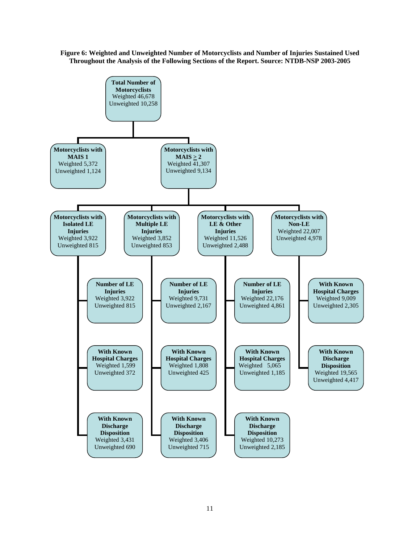#### **Figure 6: Weighted and Unweighted Number of Motorcyclists and Number of Injuries Sustained Used Throughout the Analysis of the Following Sections of the Report. Source: NTDB-NSP 2003-2005**

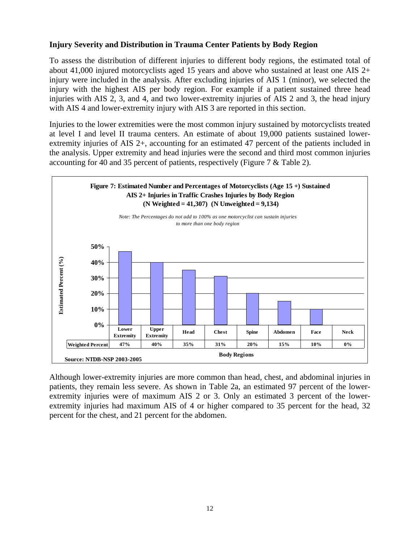## <span id="page-12-0"></span>**Injury Severity and Distribution in Trauma Center Patients by Body Region**

To assess the distribution of different injuries to different body regions, the estimated total of about 41,000 injured motorcyclists aged 15 years and above who sustained at least one AIS 2+ injury were included in the analysis. After excluding injuries of AIS 1 (minor), we selected the injury with the highest AIS per body region. For example if a patient sustained three head injuries with AIS 2, 3, and 4, and two lower-extremity injuries of AIS 2 and 3, the head injury with AIS 4 and lower-extremity injury with AIS 3 are reported in this section.

Injuries to the lower extremities were the most common injury sustained by motorcyclists treated at level I and level II trauma centers. An estimate of about 19,000 patients sustained lowerextremity injuries of AIS 2+, accounting for an estimated 47 percent of the patients included in the analysis. Upper extremity and head injuries were the second and third most common injuries accounting for 40 and 35 percent of patients, respectively (Figure 7 & Table 2).



Although lower-extremity injuries are more common than head, chest, and abdominal injuries in patients, they remain less severe. As shown in Table 2a, an estimated 97 percent of the lowerextremity injuries were of maximum AIS 2 or 3. Only an estimated 3 percent of the lowerextremity injuries had maximum AIS of 4 or higher compared to 35 percent for the head, 32 percent for the chest, and 21 percent for the abdomen.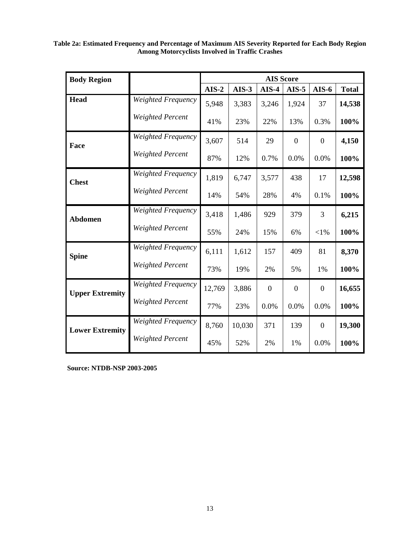| <b>Body Region</b>     |                           | <b>AIS Score</b> |         |                  |                  |                  |              |  |
|------------------------|---------------------------|------------------|---------|------------------|------------------|------------------|--------------|--|
|                        |                           | $AIS-2$          | $AIS-3$ | $AIS-4$          | $AIS-5$          | $AIS-6$          | <b>Total</b> |  |
| <b>Head</b>            | Weighted Frequency        | 5,948            | 3,383   | 3,246            | 1,924            | 37               | 14,538       |  |
|                        | <b>Weighted Percent</b>   | 41%              | 23%     | 22%              | 13%              | 0.3%             | 100%         |  |
| Face                   | <b>Weighted Frequency</b> | 3,607            | 514     | 29               | $\overline{0}$   | $\overline{0}$   | 4,150        |  |
|                        | Weighted Percent          | 87%              | 12%     | 0.7%             | 0.0%             | 0.0%             | 100%         |  |
| <b>Chest</b>           | <b>Weighted Frequency</b> | 1,819            | 6,747   | 3,577            | 438              | 17               | 12,598       |  |
|                        | <b>Weighted Percent</b>   | 14%              | 54%     | 28%              | 4%               | 0.1%             | 100%         |  |
| <b>Abdomen</b>         | <b>Weighted Frequency</b> | 3,418            | 1,486   | 929              | 379              | 3                | 6,215        |  |
|                        | <b>Weighted Percent</b>   | 55%              | 24%     | 15%              | 6%               | $<$ 1%           | 100%         |  |
| <b>Spine</b>           | Weighted Frequency        | 6,111            | 1,612   | 157              | 409              | 81               | 8,370        |  |
|                        | Weighted Percent          | 73%              | 19%     | 2%               | 5%               | 1%               | 100%         |  |
| <b>Upper Extremity</b> | <b>Weighted Frequency</b> | 12,769           | 3,886   | $\boldsymbol{0}$ | $\boldsymbol{0}$ | $\boldsymbol{0}$ | 16,655       |  |
|                        | <b>Weighted Percent</b>   | 77%              | 23%     | 0.0%             | 0.0%             | 0.0%             | 100%         |  |
| <b>Lower Extremity</b> | Weighted Frequency        | 8,760            | 10,030  | 371              | 139              | $\overline{0}$   | 19,300       |  |
|                        | Weighted Percent          | 45%              | 52%     | 2%               | 1%               | 0.0%             | 100%         |  |

**Table 2a: Estimated Frequency and Percentage of Maximum AIS Severity Reported for Each Body Region Among Motorcyclists Involved in Traffic Crashes**

**Source: NTDB-NSP 2003-2005**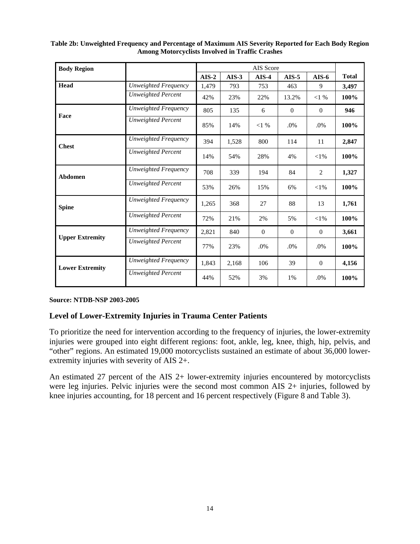| <b>Body Region</b>     |                           |         |         | AIS Score    |              |              |              |
|------------------------|---------------------------|---------|---------|--------------|--------------|--------------|--------------|
|                        |                           | $AIS-2$ | $AIS-3$ | $AIS-4$      | $AIS-5$      | $AIS-6$      | <b>Total</b> |
| Head                   | Unweighted Frequency      | 1,479   | 793     | 753          | 463          | 9            | 3,497        |
|                        | <b>Unweighted Percent</b> | 42%     | 23%     | 22%          | 13.2%        | $<1\%$       | 100%         |
|                        | Unweighted Frequency      | 805     | 135     | 6            | $\Omega$     | $\Omega$     | 946          |
| Face                   | <b>Unweighted Percent</b> | 85%     | 14%     | $<1\%$       | $.0\%$       | .0%          | 100%         |
| <b>Chest</b>           | Unweighted Frequency      | 394     | 1,528   | 800          | 114          | 11           | 2,847        |
|                        | <b>Unweighted Percent</b> | 14%     | 54%     | 28%          | 4%           | $<$ 1%       | 100%         |
| Abdomen                | Unweighted Frequency      | 708     | 339     | 194          | 84           | 2            | 1,327        |
|                        | Unweighted Percent        | 53%     | 26%     | 15%          | 6%           | $<$ 1%       | 100%         |
| <b>Spine</b>           | Unweighted Frequency      | 1,265   | 368     | 27           | 88           | 13           | 1,761        |
|                        | <b>Unweighted Percent</b> | 72%     | 21%     | 2%           | 5%           | $<$ 1%       | 100%         |
|                        | Unweighted Frequency      | 2,821   | 840     | $\mathbf{0}$ | $\mathbf{0}$ | $\mathbf{0}$ | 3,661        |
| <b>Upper Extremity</b> | <b>Unweighted Percent</b> | 77%     | 23%     | .0%          | $.0\%$       | .0%          | 100%         |
| <b>Lower Extremity</b> | Unweighted Frequency      | 1,843   | 2,168   | 106          | 39           | $\mathbf{0}$ | 4,156        |
|                        | <b>Unweighted Percent</b> | 44%     | 52%     | 3%           | 1%           | .0%          | 100%         |

#### <span id="page-14-0"></span>**Table 2b: Unweighted Frequency and Percentage of Maximum AIS Severity Reported for Each Body Region Among Motorcyclists Involved in Traffic Crashes**

### **Source: NTDB-NSP 2003-2005**

## **Level of Lower-Extremity Injuries in Trauma Center Patients**

To prioritize the need for intervention according to the frequency of injuries, the lower-extremity injuries were grouped into eight different regions: foot, ankle, leg, knee, thigh, hip, pelvis, and "other" regions. An estimated 19,000 motorcyclists sustained an estimate of about 36,000 lowerextremity injuries with severity of AIS 2+.

An estimated 27 percent of the AIS 2+ lower-extremity injuries encountered by motorcyclists were leg injuries. Pelvic injuries were the second most common AIS 2+ injuries, followed by knee injuries accounting, for 18 percent and 16 percent respectively (Figure 8 and Table 3).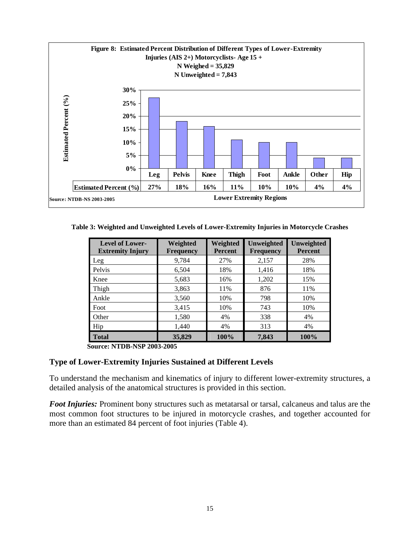<span id="page-15-0"></span>

**Table 3: Weighted and Unweighted Levels of Lower-Extremity Injuries in Motorcycle Crashes** 

| <b>Level of Lower-</b><br><b>Extremity Injury</b> | Weighted<br><b>Frequency</b> | Weighted<br><b>Percent</b> | Unweighted<br><b>Frequency</b> | Unweighted<br><b>Percent</b> |
|---------------------------------------------------|------------------------------|----------------------------|--------------------------------|------------------------------|
| Leg                                               | 9,784                        | 27%                        | 2,157                          | 28%                          |
| Pelvis                                            | 6,504                        | 18%                        | 1,416                          | 18%                          |
| Knee                                              | 5,683                        | 16%                        | 1,202                          | 15%                          |
| Thigh                                             | 3,863                        | 11%                        | 876                            | 11%                          |
| Ankle                                             | 3,560                        | 10%                        | 798                            | 10%                          |
| Foot                                              | 3,415                        | 10%                        | 743                            | 10%                          |
| Other                                             | 1,580                        | 4%                         | 338                            | 4%                           |
| Hip                                               | 1,440                        | 4%                         | 313                            | 4%                           |
| <b>Total</b>                                      | 35,829                       | 100%                       | 7,843                          | 100%                         |

**Source: NTDB-NSP 2003-2005**

### **Type of Lower-Extremity Injuries Sustained at Different Levels**

To understand the mechanism and kinematics of injury to different lower-extremity structures, a detailed analysis of the anatomical structures is provided in this section.

*Foot Injuries:* Prominent bony structures such as metatarsal or tarsal, calcaneus and talus are the most common foot structures to be injured in motorcycle crashes, and together accounted for more than an estimated 84 percent of foot injuries (Table 4).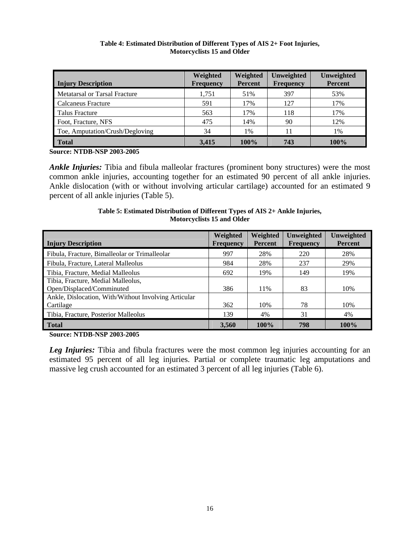<span id="page-16-0"></span>

| <b>Injury Description</b>       | Weighted<br><b>Frequency</b> | Weighted<br><b>Percent</b> | Unweighted<br>Frequency | Unweighted<br><b>Percent</b> |
|---------------------------------|------------------------------|----------------------------|-------------------------|------------------------------|
| Metatarsal or Tarsal Fracture   | 1,751                        | 51%                        | 397                     | 53%                          |
| Calcaneus Fracture              | 591                          | 17%                        | 127                     | 17%                          |
| Talus Fracture                  | 563                          | 17%                        | 118                     | 17%                          |
| Foot, Fracture, NFS             | 475                          | 14%                        | 90                      | 12%                          |
| Toe, Amputation/Crush/Degloving | 34                           | 1%                         | 11                      | 1%                           |
| <b>Total</b>                    | 3,415                        | 100%                       | 743                     | 100%                         |

#### **Table 4: Estimated Distribution of Different Types of AIS 2+ Foot Injuries, Motorcyclists 15 and Older**

**Source: NTDB-NSP 2003-2005** 

*Ankle Injuries:* Tibia and fibula malleolar fractures (prominent bony structures) were the most common ankle injuries, accounting together for an estimated 90 percent of all ankle injuries. Ankle dislocation (with or without involving articular cartilage) accounted for an estimated 9 percent of all ankle injuries (Table 5).

#### **Table 5: Estimated Distribution of Different Types of AIS 2+ Ankle Injuries, Motorcyclists 15 and Older**

| <b>Injury Description</b>                            | Weighted<br><b>Frequency</b> | Weighted<br><b>Percent</b> | <b>Unweighted</b><br><b>Frequency</b> | Unweighted<br><b>Percent</b> |
|------------------------------------------------------|------------------------------|----------------------------|---------------------------------------|------------------------------|
| Fibula, Fracture, Bimalleolar or Trimalleolar        | 997                          | 28%                        | 220                                   | 28%                          |
| Fibula, Fracture, Lateral Malleolus                  | 984                          | 28%                        | 237                                   | 29%                          |
| Tibia, Fracture, Medial Malleolus                    | 692                          | 19%                        | 149                                   | 19%                          |
| Tibia, Fracture, Medial Malleolus,                   |                              |                            |                                       |                              |
| Open/Displaced/Comminuted                            | 386                          | 11%                        | 83                                    | 10%                          |
| Ankle, Dislocation, With/Without Involving Articular |                              |                            |                                       |                              |
| Cartilage                                            | 362                          | 10%                        | 78                                    | 10%                          |
| Tibia, Fracture, Posterior Malleolus                 | 139                          | 4%                         | 31                                    | 4%                           |
| <b>Total</b>                                         | 3.560                        | 100%                       | 798                                   | 100%                         |

**Source: NTDB-NSP 2003-2005**

**Leg Injuries:** Tibia and fibula fractures were the most common leg injuries accounting for an estimated 95 percent of all leg injuries. Partial or complete traumatic leg amputations and massive leg crush accounted for an estimated 3 percent of all leg injuries (Table 6).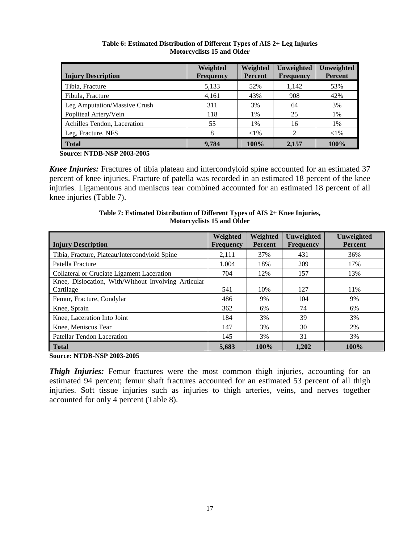<span id="page-17-0"></span>

| <b>Injury Description</b>    | Weighted<br><b>Frequency</b> | Weighted<br><b>Percent</b> | Unweighted<br><b>Frequency</b> | Unweighted<br><b>Percent</b> |
|------------------------------|------------------------------|----------------------------|--------------------------------|------------------------------|
| Tibia, Fracture              | 5,133                        | 52%                        | 1,142                          | 53%                          |
| Fibula, Fracture             | 4,161                        | 43%                        | 908                            | 42%                          |
| Leg Amputation/Massive Crush | 311                          | 3%                         | 64                             | 3%                           |
| Popliteal Artery/Vein        | 118                          | $1\%$                      | 25                             | 1%                           |
| Achilles Tendon, Laceration  | 55                           | 1%                         | 16                             | 1%                           |
| Leg, Fracture, NFS           | 8                            | ${<}1\%$                   | $\mathcal{D}$                  | ${<}1\%$                     |
| <b>Total</b>                 | 9.784                        | 100%                       | 2,157                          | 100%                         |

#### **Table 6: Estimated Distribution of Different Types of AIS 2+ Leg Injuries Motorcyclists 15 and Older**

 **Source: NTDB-NSP 2003-2005**

*Knee Injuries:* Fractures of tibia plateau and intercondyloid spine accounted for an estimated 37 percent of knee injuries. Fracture of patella was recorded in an estimated 18 percent of the knee injuries. Ligamentous and meniscus tear combined accounted for an estimated 18 percent of all knee injuries (Table 7).

| <b>Injury Description</b>                           | Weighted<br><b>Frequency</b> | Weighted<br><b>Percent</b> | Unweighted<br><b>Frequency</b> | Unweighted<br><b>Percent</b> |
|-----------------------------------------------------|------------------------------|----------------------------|--------------------------------|------------------------------|
| Tibia, Fracture, Plateau/Intercondyloid Spine       | 2,111                        | 37%                        | 431                            | 36%                          |
| Patella Fracture                                    | 1.004                        | 18%                        | 209                            | 17%                          |
| Collateral or Cruciate Ligament Laceration          | 704                          | 12%                        | 157                            | 13%                          |
| Knee, Dislocation, With/Without Involving Articular |                              |                            |                                |                              |
| Cartilage                                           | 541                          | 10%                        | 127                            | 11%                          |
| Femur, Fracture, Condylar                           | 486                          | 9%                         | 104                            | 9%                           |
| Knee, Sprain                                        | 362                          | 6%                         | 74                             | 6%                           |
| Knee, Laceration Into Joint                         | 184                          | 3%                         | 39                             | 3%                           |
| Knee, Meniscus Tear                                 | 147                          | 3%                         | 30                             | 2%                           |
| Patellar Tendon Laceration                          | 145                          | 3%                         | 31                             | 3%                           |
| <b>Total</b>                                        | 5.683                        | 100%                       | 1.202                          | 100%                         |

#### **Table 7: Estimated Distribution of Different Types of AIS 2+ Knee Injuries, Motorcyclists 15 and Older**

**Source: NTDB-NSP 2003-2005**

*Thigh Injuries:* Femur fractures were the most common thigh injuries, accounting for an estimated 94 percent; femur shaft fractures accounted for an estimated 53 percent of all thigh injuries. Soft tissue injuries such as injuries to thigh arteries, veins, and nerves together accounted for only 4 percent (Table 8).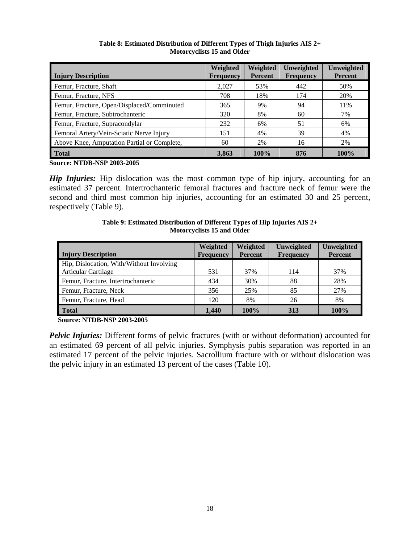<span id="page-18-0"></span>

| <b>Injury Description</b>                   | Weighted<br><b>Frequency</b> | Weighted<br><b>Percent</b> | Unweighted<br><b>Frequency</b> | Unweighted<br><b>Percent</b> |
|---------------------------------------------|------------------------------|----------------------------|--------------------------------|------------------------------|
| Femur, Fracture, Shaft                      | 2.027                        | 53%                        | 442                            | 50%                          |
| Femur, Fracture, NFS                        | 708                          | 18%                        | 174                            | 20%                          |
| Femur, Fracture, Open/Displaced/Comminuted  | 365                          | 9%                         | 94                             | 11%                          |
| Femur, Fracture, Subtrochanteric            | 320                          | 8%                         | 60                             | 7%                           |
| Femur, Fracture, Supracondylar              | 232                          | 6%                         | 51                             | 6%                           |
| Femoral Artery/Vein-Sciatic Nerve Injury    | 151                          | 4%                         | 39                             | 4%                           |
| Above Knee, Amputation Partial or Complete, | 60                           | 2%                         | 16                             | 2%                           |
| <b>Total</b>                                | 3,863                        | 100%                       | 876                            | 100%                         |

**Table 8: Estimated Distribution of Different Types of Thigh Injuries AIS 2+ Motorcyclists 15 and Older** 

**Source: NTDB-NSP 2003-2005**

*Hip Injuries:* Hip dislocation was the most common type of hip injury, accounting for an estimated 37 percent. Intertrochanteric femoral fractures and fracture neck of femur were the second and third most common hip injuries, accounting for an estimated 30 and 25 percent, respectively (Table 9).

| <b>Injury Description</b>                | Weighted<br><b>Frequency</b> | Weighted<br><b>Percent</b> | Unweighted<br><b>Frequency</b> | Unweighted<br><b>Percent</b> |
|------------------------------------------|------------------------------|----------------------------|--------------------------------|------------------------------|
| Hip, Dislocation, With/Without Involving |                              |                            |                                |                              |
| <b>Articular Cartilage</b>               | 531                          | 37%                        | 114                            | 37%                          |
| Femur, Fracture, Intertrochanteric       | 434                          | 30%                        | 88                             | 28%                          |
| Femur, Fracture, Neck                    | 356                          | 25%                        | 85                             | 27%                          |
| Femur, Fracture, Head                    | 120                          | 8%                         | 26                             | 8%                           |
| <b>Total</b>                             | 1.440                        | 100%                       | 313                            | 100%                         |

**Table 9: Estimated Distribution of Different Types of Hip Injuries AIS 2+ Motorcyclists 15 and Older** 

 **Source: NTDB-NSP 2003-2005**

*Pelvic Injuries:* Different forms of pelvic fractures (with or without deformation) accounted for an estimated 69 percent of all pelvic injuries. Symphysis pubis separation was reported in an estimated 17 percent of the pelvic injuries. Sacrollium fracture with or without dislocation was the pelvic injury in an estimated 13 percent of the cases (Table 10).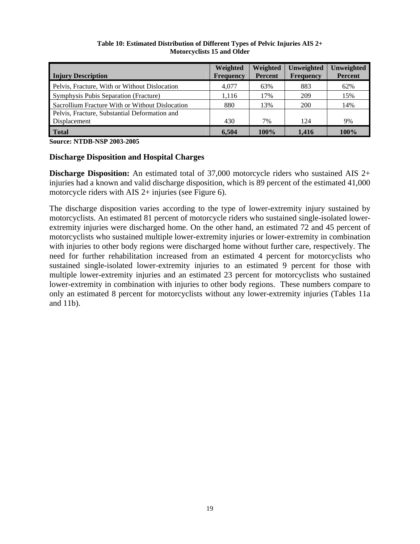<span id="page-19-0"></span>

| <b>Injury Description</b>                       | Weighted<br><b>Frequency</b> | Weighted<br><b>Percent</b> | Unweighted<br><b>Frequency</b> | Unweighted<br><b>Percent</b> |
|-------------------------------------------------|------------------------------|----------------------------|--------------------------------|------------------------------|
| Pelvis, Fracture, With or Without Dislocation   | 4.077                        | 63%                        | 883                            | 62%                          |
| Symphysis Pubis Separation (Fracture)           | 1,116                        | 17%                        | 209                            | 15%                          |
| Sacrollium Fracture With or Without Dislocation | 880                          | 13%                        | 200                            | 14%                          |
| Pelvis, Fracture, Substantial Deformation and   |                              |                            |                                |                              |
| Displacement                                    | 430                          | 7%                         | 124                            | 9%                           |
| <b>Total</b>                                    | 6.504                        | 100%                       | 1.416                          | 100%                         |

#### **Table 10: Estimated Distribution of Different Types of Pelvic Injuries AIS 2+ Motorcyclists 15 and Older**

**Source: NTDB-NSP 2003-2005**

#### **Discharge Disposition and Hospital Charges**

**Discharge Disposition:** An estimated total of 37,000 motorcycle riders who sustained AIS 2+ injuries had a known and valid discharge disposition, which is 89 percent of the estimated 41,000 motorcycle riders with AIS 2+ injuries (see Figure 6).

The discharge disposition varies according to the type of lower-extremity injury sustained by motorcyclists. An estimated 81 percent of motorcycle riders who sustained single-isolated lowerextremity injuries were discharged home. On the other hand, an estimated 72 and 45 percent of motorcyclists who sustained multiple lower-extremity injuries or lower-extremity in combination with injuries to other body regions were discharged home without further care, respectively. The need for further rehabilitation increased from an estimated 4 percent for motorcyclists who sustained single-isolated lower-extremity injuries to an estimated 9 percent for those with multiple lower-extremity injuries and an estimated 23 percent for motorcyclists who sustained lower-extremity in combination with injuries to other body regions. These numbers compare to only an estimated 8 percent for motorcyclists without any lower-extremity injuries (Tables 11a and 11b).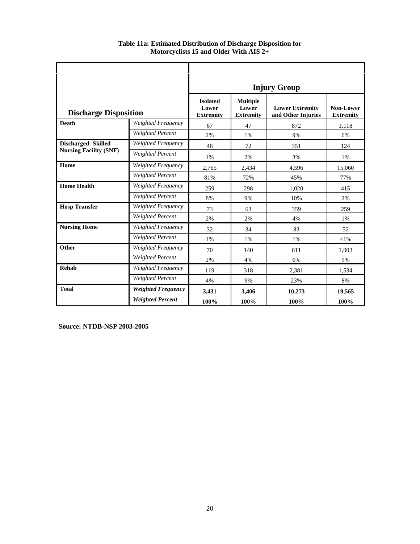|                               |                           | <b>Injury Group</b>                                                                                                                          |       |        |                                      |  |
|-------------------------------|---------------------------|----------------------------------------------------------------------------------------------------------------------------------------------|-------|--------|--------------------------------------|--|
| <b>Discharge Disposition</b>  |                           | <b>Isolated</b><br><b>Multiple</b><br><b>Lower Extremity</b><br>Lower<br>Lower<br>and Other Injuries<br><b>Extremity</b><br><b>Extremity</b> |       |        | <b>Non-Lower</b><br><b>Extremity</b> |  |
| <b>Death</b>                  | Weighted Frequency        | 67                                                                                                                                           | 47    | 872    | 1,118                                |  |
|                               | Weighted Percent          | 2%                                                                                                                                           | 1%    | 9%     | 6%                                   |  |
| <b>Discharged-Skilled</b>     | Weighted Frequency        | 46                                                                                                                                           | 72    | 351    | 124                                  |  |
| <b>Nursing Facility (SNF)</b> | <b>Weighted Percent</b>   | 1%                                                                                                                                           | 2%    | 3%     | 1%                                   |  |
| Home                          | Weighted Frequency        | 2,765                                                                                                                                        | 2,434 | 4,596  | 15,060                               |  |
|                               | Weighted Percent          | 81%                                                                                                                                          | 72%   | 45%    | 77%                                  |  |
| <b>Home Health</b>            | Weighted Frequency        | 259                                                                                                                                          | 298   | 1,020  | 415                                  |  |
|                               | <b>Weighted Percent</b>   | 8%                                                                                                                                           | 9%    | 10%    | 2%                                   |  |
| <b>Hosp Transfer</b>          | Weighted Frequency        | 73                                                                                                                                           | 63    | 359    | 259                                  |  |
|                               | Weighted Percent          | 2%                                                                                                                                           | 2%    | 4%     | 1%                                   |  |
| <b>Nursing Home</b>           | Weighted Frequency        | 32                                                                                                                                           | 34    | 83     | 52                                   |  |
|                               | Weighted Percent          | 1%                                                                                                                                           | 1%    | 1%     | $<$ 1%                               |  |
| <b>Other</b>                  | Weighted Frequency        | 70                                                                                                                                           | 140   | 611    | 1,003                                |  |
|                               | <b>Weighted Percent</b>   | 2%                                                                                                                                           | 4%    | 6%     | 5%                                   |  |
| <b>Rehab</b>                  | Weighted Frequency        | 119                                                                                                                                          | 318   | 2,381  | 1,534                                |  |
|                               | Weighted Percent          | 4%                                                                                                                                           | 9%    | 23%    | 8%                                   |  |
| <b>Total</b>                  | <b>Weighted Frequency</b> | 3,431                                                                                                                                        | 3.406 | 10.273 | 19.565                               |  |
|                               | <b>Weighted Percent</b>   | 100%                                                                                                                                         | 100%  | 100%   | 100%                                 |  |

**Table 11a: Estimated Distribution of Discharge Disposition for Motorcyclists 15 and Older With AIS 2+** 

 **Source: NTDB-NSP 2003-2005**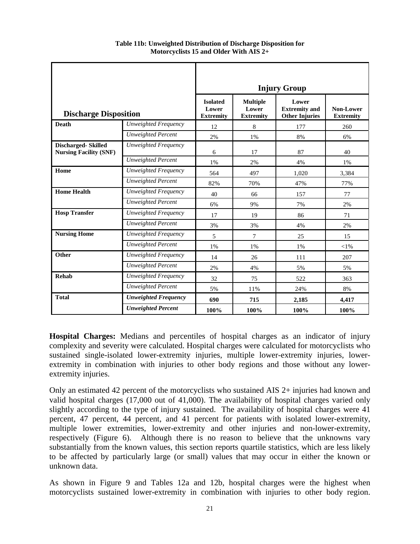|                                                            |                             | <b>Injury Group</b>                          |                                              |                                                        |                               |
|------------------------------------------------------------|-----------------------------|----------------------------------------------|----------------------------------------------|--------------------------------------------------------|-------------------------------|
| <b>Discharge Disposition</b>                               |                             | <b>Isolated</b><br>Lower<br><b>Extremity</b> | <b>Multiple</b><br>Lower<br><b>Extremity</b> | Lower<br><b>Extremity</b> and<br><b>Other Injuries</b> | Non-Lower<br><b>Extremity</b> |
| <b>Death</b>                                               | Unweighted Frequency        | 12                                           | 8                                            | 177                                                    | 260                           |
|                                                            | <b>Unweighted Percent</b>   | 2%                                           | 1%                                           | 8%                                                     | 6%                            |
| <b>Discharged-Skilled</b><br><b>Nursing Facility (SNF)</b> | Unweighted Frequency        | 6                                            | 17                                           | 87                                                     | 40                            |
|                                                            | <b>Unweighted Percent</b>   | 1%                                           | 2%                                           | 4%                                                     | 1%                            |
| Home                                                       | Unweighted Frequency        | 564                                          | 497                                          | 1,020                                                  | 3,384                         |
|                                                            | <b>Unweighted Percent</b>   | 82%                                          | 70%                                          | 47%                                                    | 77%                           |
| <b>Home Health</b>                                         | Unweighted Frequency        | 40                                           | 66                                           | 157                                                    | 77                            |
|                                                            | <b>Unweighted Percent</b>   | 6%                                           | 9%                                           | 7%                                                     | 2%                            |
| <b>Hosp Transfer</b>                                       | Unweighted Frequency        | 17                                           | 19                                           | 86                                                     | 71                            |
|                                                            | <b>Unweighted Percent</b>   | 3%                                           | 3%                                           | 4%                                                     | 2%                            |
| <b>Nursing Home</b>                                        | Unweighted Frequency        | 5                                            | 7                                            | 25                                                     | 15                            |
|                                                            | <b>Unweighted Percent</b>   | 1%                                           | 1%                                           | 1%                                                     | $<$ 1%                        |
| Other                                                      | Unweighted Frequency        | 14                                           | 26                                           | 111                                                    | 207                           |
|                                                            | <b>Unweighted Percent</b>   | 2%                                           | 4%                                           | 5%                                                     | 5%                            |
| Rehab                                                      | Unweighted Frequency        | 32                                           | 75                                           | 522                                                    | 363                           |
|                                                            | <b>Unweighted Percent</b>   | 5%                                           | 11%                                          | 24%                                                    | 8%                            |
| <b>Total</b>                                               | <b>Unweighted Frequency</b> | 690                                          | 715                                          | 2,185                                                  | 4,417                         |
|                                                            | <b>Unweighted Percent</b>   | 100%                                         | 100%                                         | 100%                                                   | 100%                          |

**Table 11b: Unweighted Distribution of Discharge Disposition for Motorcyclists 15 and Older With AIS 2+** 

**Hospital Charges:** Medians and percentiles of hospital charges as an indicator of injury complexity and severity were calculated. Hospital charges were calculated for motorcyclists who sustained single-isolated lower-extremity injuries, multiple lower-extremity injuries, lowerextremity in combination with injuries to other body regions and those without any lowerextremity injuries.

Only an estimated 42 percent of the motorcyclists who sustained AIS 2+ injuries had known and valid hospital charges (17,000 out of 41,000). The availability of hospital charges varied only slightly according to the type of injury sustained. The availability of hospital charges were 41 percent, 47 percent, 44 percent, and 41 percent for patients with isolated lower-extremity, multiple lower extremities, lower-extremity and other injuries and non-lower-extremity, respectively (Figure 6). Although there is no reason to believe that the unknowns vary substantially from the known values, this section reports quartile statistics, which are less likely to be affected by particularly large (or small) values that may occur in either the known or unknown data.

As shown in Figure 9 and Tables 12a and 12b, hospital charges were the highest when motorcyclists sustained lower-extremity in combination with injuries to other body region.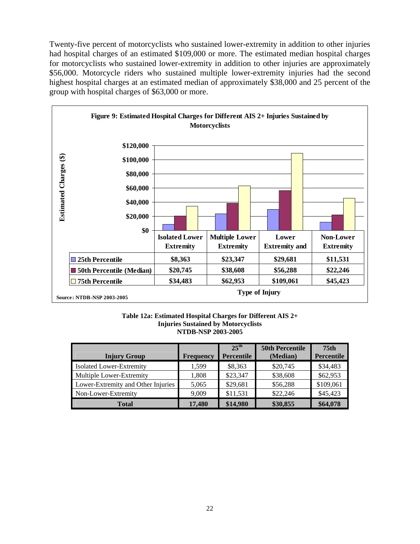<span id="page-22-0"></span>Twenty-five percent of motorcyclists who sustained lower-extremity in addition to other injuries had hospital charges of an estimated \$109,000 or more. The estimated median hospital charges for motorcyclists who sustained lower-extremity in addition to other injuries are approximately \$56,000. Motorcycle riders who sustained multiple lower-extremity injuries had the second highest hospital charges at an estimated median of approximately \$38,000 and 25 percent of the group with hospital charges of \$63,000 or more.



#### **Table 12a: Estimated Hospital Charges for Different AIS 2+ Injuries Sustained by Motorcyclists NTDB-NSP 2003-2005**

| <b>Injury Group</b>                | <b>Frequency</b> | $25^{\text{th}}$<br><b>Percentile</b> | <b>50th Percentile</b><br>(Median) | 75 <sub>th</sub><br>Percentile |
|------------------------------------|------------------|---------------------------------------|------------------------------------|--------------------------------|
| Isolated Lower-Extremity           | 1.599            | \$8,363                               | \$20,745                           | \$34,483                       |
| Multiple Lower-Extremity           | 1,808            | \$23,347                              | \$38,608                           | \$62,953                       |
| Lower-Extremity and Other Injuries | 5,065            | \$29,681                              | \$56,288                           | \$109,061                      |
| Non-Lower-Extremity                | 9.009            | \$11,531                              | \$22,246                           | \$45,423                       |
| <b>Total</b>                       | 17.480           | \$14,980                              | \$30,855                           | \$64,078                       |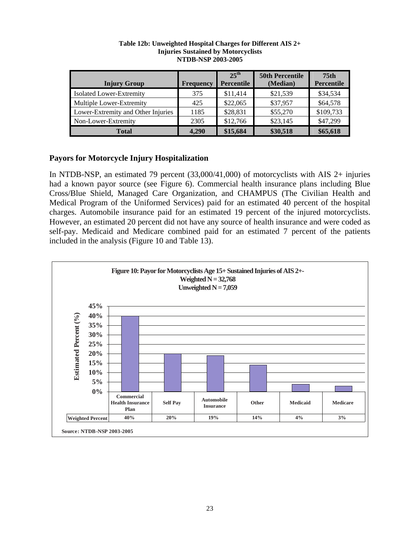| <b>Injury Group</b>                | <b>Frequency</b> | $25^{\text{th}}$<br>Percentile | <b>50th Percentile</b><br>(Median) | 75 <sub>th</sub><br>Percentile |
|------------------------------------|------------------|--------------------------------|------------------------------------|--------------------------------|
| Isolated Lower-Extremity           | 375              | \$11,414                       | \$21,539                           | \$34,534                       |
| Multiple Lower-Extremity           | 425              | \$22,065                       | \$37,957                           | \$64,578                       |
| Lower-Extremity and Other Injuries | 1185             | \$28,831                       | \$55,270                           | \$109,733                      |
| Non-Lower-Extremity                | 2305             | \$12,766                       | \$23,145                           | \$47,299                       |
| <b>Total</b>                       | 4.290            | \$15,684                       | \$30,518                           | \$65,618                       |

#### **Table 12b: Unweighted Hospital Charges for Different AIS 2+ Injuries Sustained by Motorcyclists NTDB-NSP 2003-2005**

## **Payors for Motorcycle Injury Hospitalization**

In NTDB-NSP, an estimated 79 percent (33,000/41,000) of motorcyclists with AIS 2+ injuries had a known payor source (see Figure 6). Commercial health insurance plans including Blue Cross/Blue Shield, Managed Care Organization, and CHAMPUS (The Civilian Health and Medical Program of the Uniformed Services) paid for an estimated 40 percent of the hospital charges. Automobile insurance paid for an estimated 19 percent of the injured motorcyclists. However, an estimated 20 percent did not have any source of health insurance and were coded as self-pay. Medicaid and Medicare combined paid for an estimated 7 percent of the patients included in the analysis (Figure 10 and Table 13).

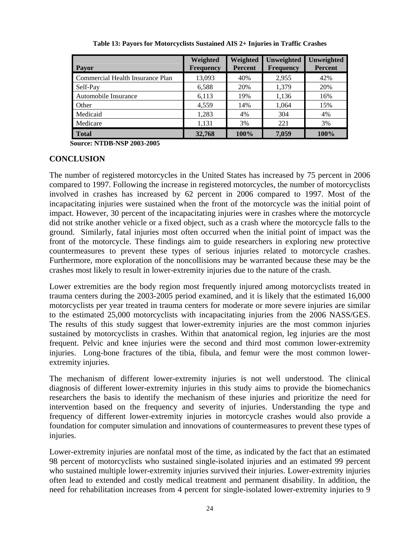<span id="page-24-0"></span>

| <b>Payor</b>                     | Weighted<br><b>Frequency</b> | Weighted<br><b>Percent</b> | Unweighted<br><b>Frequency</b> | Unweighted<br><b>Percent</b> |
|----------------------------------|------------------------------|----------------------------|--------------------------------|------------------------------|
| Commercial Health Insurance Plan | 13,093                       | 40%                        | 2,955                          | 42%                          |
| Self-Pay                         | 6,588                        | 20%                        | 1,379                          | 20%                          |
| Automobile Insurance             | 6,113                        | 19%                        | 1,136                          | 16%                          |
| Other                            | 4,559                        | 14%                        | 1,064                          | 15%                          |
| Medicaid                         | 1,283                        | 4%                         | 304                            | 4%                           |
| Medicare                         | 1,131                        | 3%                         | 221                            | 3%                           |
| <b>Total</b>                     | 32,768                       | 100%                       | 7.059                          | 100%                         |

**Table 13: Payors for Motorcyclists Sustained AIS 2+ Injuries in Traffic Crashes** 

 **Source: NTDB-NSP 2003-2005**

## **CONCLUSION**

The number of registered motorcycles in the United States has increased by 75 percent in 2006 compared to 1997. Following the increase in registered motorcycles, the number of motorcyclists involved in crashes has increased by 62 percent in 2006 compared to 1997. Most of the incapacitating injuries were sustained when the front of the motorcycle was the initial point of impact. However, 30 percent of the incapacitating injuries were in crashes where the motorcycle did not strike another vehicle or a fixed object, such as a crash where the motorcycle falls to the ground. Similarly, fatal injuries most often occurred when the initial point of impact was the front of the motorcycle. These findings aim to guide researchers in exploring new protective countermeasures to prevent these types of serious injuries related to motorcycle crashes. Furthermore, more exploration of the noncollisions may be warranted because these may be the crashes most likely to result in lower-extremity injuries due to the nature of the crash.

Lower extremities are the body region most frequently injured among motorcyclists treated in trauma centers during the 2003-2005 period examined, and it is likely that the estimated 16,000 motorcyclists per year treated in trauma centers for moderate or more severe injuries are similar to the estimated 25,000 motorcyclists with incapacitating injuries from the 2006 NASS/GES. The results of this study suggest that lower-extremity injuries are the most common injuries sustained by motorcyclists in crashes. Within that anatomical region, leg injuries are the most frequent. Pelvic and knee injuries were the second and third most common lower-extremity injuries. Long-bone fractures of the tibia, fibula, and femur were the most common lowerextremity injuries.

The mechanism of different lower-extremity injuries is not well understood. The clinical diagnosis of different lower-extremity injuries in this study aims to provide the biomechanics researchers the basis to identify the mechanism of these injuries and prioritize the need for intervention based on the frequency and severity of injuries. Understanding the type and frequency of different lower-extremity injuries in motorcycle crashes would also provide a foundation for computer simulation and innovations of countermeasures to prevent these types of injuries.

Lower-extremity injuries are nonfatal most of the time, as indicated by the fact that an estimated 98 percent of motorcyclists who sustained single-isolated injuries and an estimated 99 percent who sustained multiple lower-extremity injuries survived their injuries. Lower-extremity injuries often lead to extended and costly medical treatment and permanent disability. In addition, the need for rehabilitation increases from 4 percent for single-isolated lower-extremity injuries to 9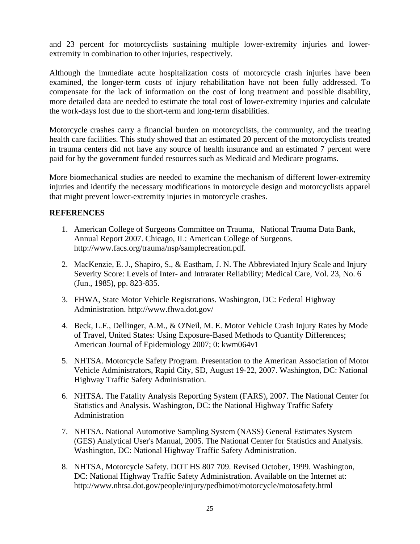<span id="page-25-0"></span>and 23 percent for motorcyclists sustaining multiple lower-extremity injuries and lowerextremity in combination to other injuries, respectively.

Although the immediate acute hospitalization costs of motorcycle crash injuries have been examined, the longer-term costs of injury rehabilitation have not been fully addressed. To compensate for the lack of information on the cost of long treatment and possible disability, more detailed data are needed to estimate the total cost of lower-extremity injuries and calculate the work-days lost due to the short-term and long-term disabilities.

Motorcycle crashes carry a financial burden on motorcyclists, the community, and the treating health care facilities. This study showed that an estimated 20 percent of the motorcyclists treated in trauma centers did not have any source of health insurance and an estimated 7 percent were paid for by the government funded resources such as Medicaid and Medicare programs.

More biomechanical studies are needed to examine the mechanism of different lower-extremity injuries and identify the necessary modifications in motorcycle design and motorcyclists apparel that might prevent lower-extremity injuries in motorcycle crashes.

## **REFERENCES**

- 1. American College of Surgeons Committee on Trauma, National Trauma Data Bank, Annual Report 2007. Chicago, IL: American College of Surgeons. [http://www.facs.org/trauma/nsp/samplecreation.pdf.](http://www.facs.org/trauma/nsp/samplecreation.pdf)
- 2. MacKenzie, E. J., Shapiro, S., & Eastham, J. N. The Abbreviated Injury Scale and Injury Severity Score: Levels of Inter- and Intrarater Reliability; Medical Care, Vol. 23, No. 6 (Jun., 1985), pp. 823-835.
- 3. FHWA, State Motor Vehicle Registrations. Washington, DC: Federal Highway Administration. http://www.fhwa.dot.gov/
- 4. Beck, L.F., Dellinger, A.M., & O'Neil, M. E. Motor Vehicle Crash Injury Rates by Mode of Travel, United States: Using Exposure-Based Methods to Quantify Differences; American Journal of Epidemiology 2007; 0: kwm064v1
- 5. NHTSA. Motorcycle Safety Program. Presentation to the American Association of Motor Vehicle Administrators, Rapid City, SD, August 19-22, 2007. Washington, DC: National Highway Traffic Safety Administration.
- 6. NHTSA. The Fatality Analysis Reporting System (FARS), 2007. The National Center for Statistics and Analysis. Washington, DC: the National Highway Traffic Safety Administration
- 7. NHTSA. National Automotive Sampling System (NASS) General Estimates System (GES) Analytical User's Manual, 2005. The National Center for Statistics and Analysis. Washington, DC: National Highway Traffic Safety Administration.
- 8. NHTSA, Motorcycle Safety. DOT HS 807 709. Revised October, 1999. Washington, DC: National Highway Traffic Safety Administration. Available on the Internet at: http://www.nhtsa.dot.gov/people/injury/pedbimot/motorcycle/motosafety.html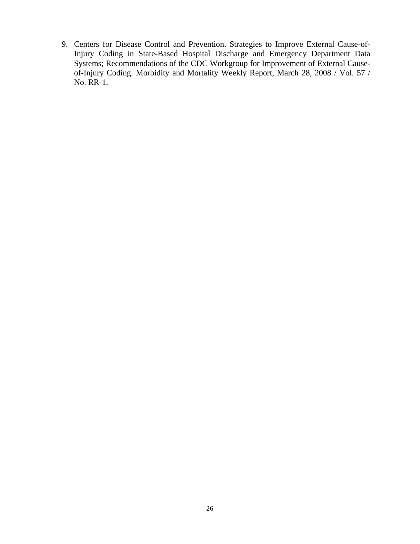9. Centers for Disease Control and Prevention. Strategies to Improve External Cause-of-Injury Coding in State-Based Hospital Discharge and Emergency Department Data Systems; Recommendations of the CDC Workgroup for Improvement of External Causeof-Injury Coding. Morbidity and Mortality Weekly Report, March 28, 2008 / Vol. 57 / No. RR-1.